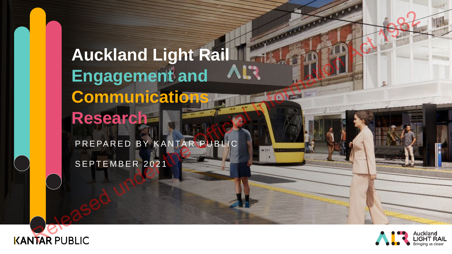# **Auckland Light Rail Engagement and Communications Research** Auckland Light Rail Information Research

PREPARED BY KANTAR PUBLIC

SEPTEMBER 2021



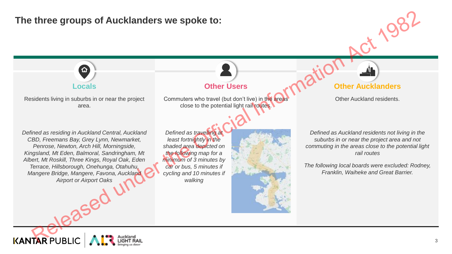## **The three groups of Aucklanders we spoke to:**



Commuters who travel (but don't live) in the areas close to the potential light rail routes.

# *Defined as residing in Auckland Central, Auckland CBD, Freemans Bay, Grey Lynn, Newmarket, Penrose, Newton, Arch Hill, Morningside, Kingsland, Mt Eden, Balmoral, Sandringham, Mt Albert, Mt Roskill, Three Kings, Royal Oak, Eden Terrace, Hillsborough, Onehunga, Otahuhu, Mangere Bridge, Mangere, Favona, Auckland Airport or Airport Oaks* three groups of Aucklanders we spoke to:<br>
Locals<br>
Sidents living in suburts in orner the project<br>
Sidents living in suburts in orner the project<br>
Sidents when the street of the protectal light particular and the protectal

Residents living in suburbs in or near the project area.

> *Defined as travelling at least fortnightly in the shaded area depicted on the following map for a minimum of 3 minutes by car or bus, 5 minutes if cycling and 10 minutes if walking*



### **Locals Other Users Other Aucklanders**

Other Auckland residents.

*Defined as Auckland residents not living in the suburbs in or near the project area and not commuting in the areas close to the potential light rail routes*

*The following local boards were excluded: Rodney, Franklin, Waiheke and Great Barrier.*

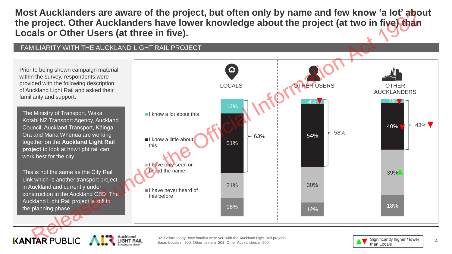**Most Aucklanders are aware of the project, but often only by name and few know 'a lot' about the project. Other Aucklanders have lower knowledge about the project (at two in five) than Locals or Other Users (at three in five).**

#### FAMILIARITY WITH THE AUCKLAND LIGHT RAIL PROJECT

Prior to being shown campaign material within the survey, respondents were provided with the following description of Auckland Light Rail and asked their familiarity and support.

The Ministry of Transport, Waka Kotahi NZ Transport Agency, Auckland Council, Auckland Transport, Kāinga Ora and Mana Whenua are working together on the **Auckland Light Rail project** to look at how light rail can work best for the city.

This is not the same as the City Rail Link which is another transport project in Auckland and currently under construction in the Auckland CBD. The Auckland Light Rail project is still in the planning phase.



B2. Before today, how familiar were you with the Auckland Light Rail project? Base: Locals n=300, Other users n=201, Other Auckanders n=500

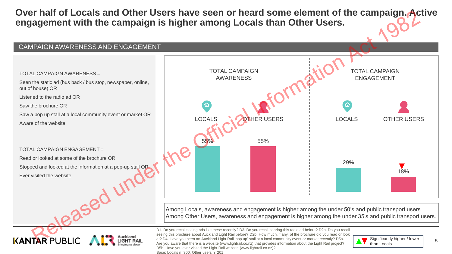**Over half of Locals and Other Users have seen or heard some element of the campaign. Active engagement with the campaign is higher among Locals than Other Users.**



Among Locals, awareness and engagement is higher among the under 50's and public transport users. Among Other Users, awareness and engagement is higher among the under 35's and public transport users.

D1. Do you recall seeing ads like these recently? D3. Do you recall hearing this radio ad before? D2a. Do you recall seeing this brochure about Auckland Light Rail before? D2b. How much, if any, of the brochure did you read or look at? D4. Have you seen an Auckland Light Rail 'pop up' stall at a local community event or market recently? D5a. Are you aware that there is a website (www.lightrail.co.nz) that provides information about the Light Rail project? D5b. Have you ever visited the Light Rail website (www.lightrail.co.nz)? Base: Locals n=300, Other users n=201



5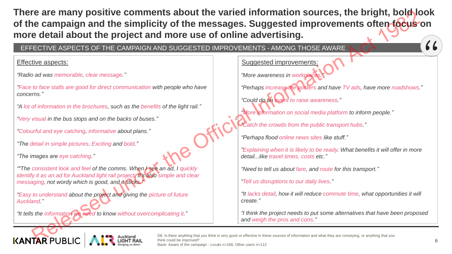**There are many positive comments about the varied information sources, the bright, bold look of the campaign and the simplicity of the messages. Suggested improvements often focus on more detail about the project and more use of online advertising.** FOR THE DAMENTON COMMENTAIN POSITION AND SUCCESSITED IMPROVEMENTS -ANONG THOSE AWAKE CHANNIPAGE CONTRACT THE CAMPAIGN AND SUCCESSITED IMPROVEMENTS -AMONG THOSE AWAKE ENDIRECT CHANNIPAGE IN THE CAMPAIGN AND SUCCESSITED IMP

#### EFFECTIVE ASPECTS OF THE CAMPAIGN AND SUGGESTED IMPROVEMENTS - AMONG THOSE AWARE

#### Effective aspects:

*"Radio ad was memorable, clear message."*

*"Face to face stalls are good for direct communication with people who have concerns."*

*"A lot of information in the brochures, such as the benefits of the light rail."*

*"Very visual in the bus stops and on the backs of buses."* 

*"Colourful and eye catching, informative about plans."* 

*"The detail in simple pictures. Exciting and bold."*

*"The images are eye catching."*

*""The consistent look and feel of the comms. When I see an ad, I quickly identify it as an ad for Auckland light rail project. It's also simple and clear messaging, not wordy which is good, and it sticks."* 

*"Easy to understand about the project and giving the picture of future Auckland."*

*"It tells the information we need to know without overcomplicating it."*

#### Suggested improvements:

*"More awareness in workplace* 

*"Perhaps increase the posters and have TV ads, have more roadshows."*

*"Could do an event to raise awareness."* 

*"More information on social media platform to inform people."*

*"Catch the crowds from the public transport hubs."*

*"Perhaps flood online news sites like stuff."*

*"Explaining when it is likely to be ready. What benefits it will offer in more detail...like travel times, costs etc."*

*"Need to tell us about fare, and route for this transport."*

*"Tell us disruptions to our daily lives."*

*"It lacks detail, how it will reduce commute time, what opportunities it will create."*

*"I think the project needs to put some alternatives that have been proposed and weigh the pros and cons."*

D8. Is there anything that you think is very good or effective in these sources of information and what they are conveying, or anything that you think could be improved? Base: Aware of the campaign - Locals n=168, Other users n=113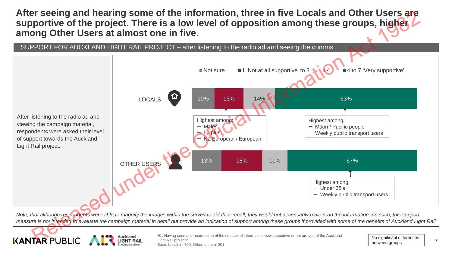**After seeing and hearing some of the information, three in five Locals and Other Users are supportive of the project. There is a low level of opposition among these groups, higher among Other Users at almost one in five.**



*Note, that although respondents were able to magnify the images within the survey to aid their recall, they would not necessarily have read the information. As such, this support measure is not intended to evaluate the campaign material in detail but provide an indication of support among these groups if provided with some of the benefits of Auckland Light Rail.*



E1. Having seen and heard some of the sources of information, how supportive or not are you of the Auckland Light Rail project? Base: Locals n=300, Other users n=201

No significant differences between groups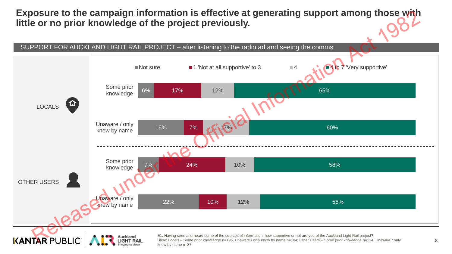**Exposure to the campaign information is effective at generating support among those with little or no prior knowledge of the project previously.**

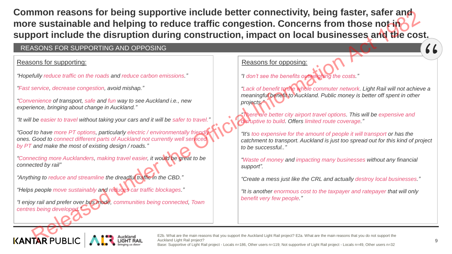**Common reasons for being supportive include better connectivity, being faster, safer and**  more sustainable and helping to reduce traffic congestion. Concerns from those not-in**support include the disruption during construction, impact on local businesses and the cost. THE RELIABLE CONSIDENTIFIC CONSIDERATION**<br> **EXERCISE THE CONSIDERATION AND OFFICIAL CONSIDERATION CONSIDER CONSIDER CONSIDER CONSIDER CONSIDER CONSIDERATION CONSIDERATION CONSIDER CONSIDER CONSIDERATION CONSIDERATION CON** 

#### REASONS FOR SUPPORTING AND OPPOSING

#### Reasons for supporting:

*"Hopefully reduce traffic on the roads and reduce carbon emissions."*

*"Fast service, decrease congestion, avoid mishap."*

*"Convenience of transport, safe and fun way to see Auckland i.e., new experience, bringing about change in Auckland."*

*"It will be easier to travel without taking your cars and it will be safer to travel."*

*"Good to have more PT options, particularly electric / environmentally friendly ones. Good to connect different parts of Auckland not currently well serviced by PT and make the most of existing design / roads."*

*"Connecting more Aucklanders, making travel easier, it would be great to be connected by rail"*

*"Anything to reduce and streamline the dreadful traffic in the CBD."*

*"Helps people move sustainably and reduces car traffic blockages."*

*"I enjoy rail and prefer over bus mode, communities being connected, Town centres being developed."*

#### Reasons for opposing:

*"I don't see the benefits outweighing the costs."*

*"Lack of benefit to the whole commuter network. Light Rail will not achieve a meaningful benefit to Auckland. Public money is better off spent in other projects."*

*"There are better city airport travel options. This will be expensive and disruptive to build. Offers limited route coverage."*

*"It's too expensive for the amount of people it will transport or has the catchment to transport. Auckland is just too spread out for this kind of project to be successful.."*

*"Waste of money and impacting many businesses without any financial support".*

*"Create a mess just like the CRL and actually destroy local businesses."*

*"It is another enormous cost to the taxpayer and ratepayer that will only benefit very few people."*

E2b. What are the main reasons that you support the Auckland Light Rail project? E2a. What are the main reasons that you do not support the Auckland Light Rail project? Base: Supportive of Light Rail project - Locals n=186, Other users n=119; Not supportive of Light Rail project - Locals n=49, Other users n=32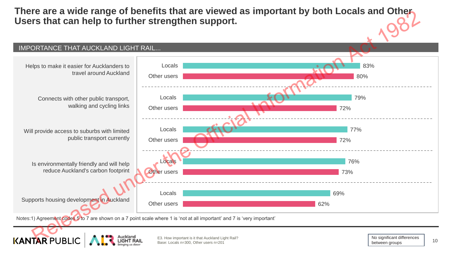**There are a wide range of benefits that are viewed as important by both Locals and Other Users that can help to further strengthen support.**



Notes:1) Agreement codes 5 to 7 are shown on a 7 point scale where 1 is 'not at all important' and 7 is 'very important'

E3. How important is it that Auckland Light Rail?<br>
20 Other users a 2014 Base: Locals n=300, Other users n=201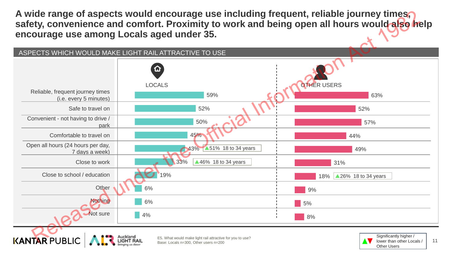**A wide range of aspects would encourage use including frequent, reliable journey times, safety, convenience and comfort. Proximity to work and being open all hours would also help encourage use among Locals aged under 35.**

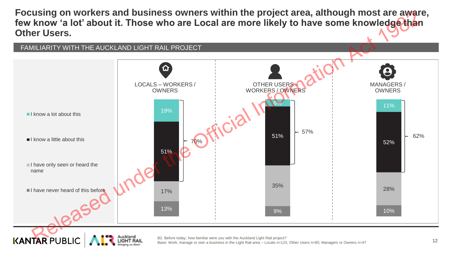**Focusing on workers and business owners within the project area, although most are aware,**  few know 'a lot' about it. Those who are Local are more likely to have some knowledge than **Other Users.**



B2. Before today, how familiar were you with the Auckland Light Rail project? Base: Work, manage or own a business in the Light Rail area – Locals n=123, Other Users n=85; Managers or Owners n=47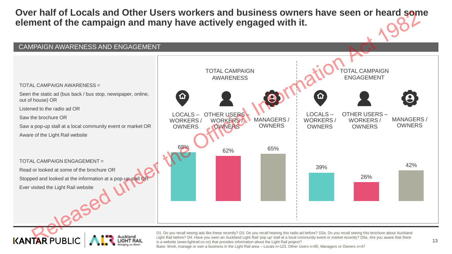**Over half of Locals and Other Users workers and business owners have seen or heard some element of the campaign and many have actively engaged with it.**



D1. Do you recall seeing ads like these recently? D3. Do you recall hearing this radio ad before? D2a. Do you recall seeing this brochure about Auckland Light Rail before? D4. Have you seen an Auckland Light Rail 'pop up' stall at a local community event or market recently? D5a. Are you aware that there is a website (www.lightrail.co.nz) that provides information about the Light Rail project?

Base: Work, manage or own a business in the Light Rail area – Locals n=123, Other Users n=85; Managers or Owners n=47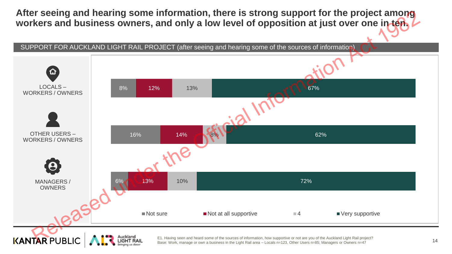**After seeing and hearing some information, there is strong support for the project among workers and business owners, and only a low level of opposition at just over one in ten.**

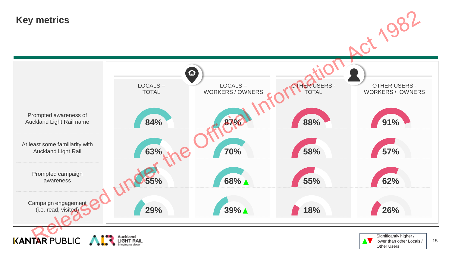# **Key metrics**